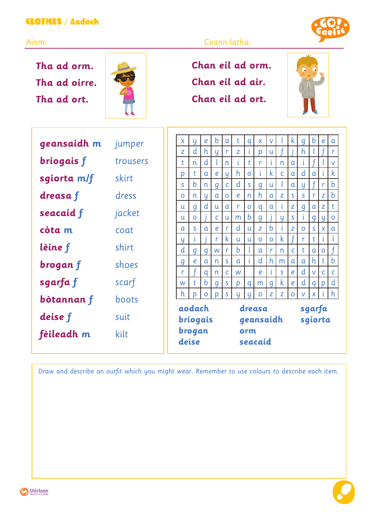## CLOTHES / Aodach

**Tha ad orm. Tha ad oirre. Tha ad ort.**



## Ainm: Ceann-latha:

**Chan eil ad orm. Chan eil ad air. Chan eil ad ort.**



| geansaidh m | jumper   | X                  | Ч            | e                | b                | a              | t            | q              | X                | V              |             | k.           | q            | b            | $\boldsymbol{e}$ | a           |
|-------------|----------|--------------------|--------------|------------------|------------------|----------------|--------------|----------------|------------------|----------------|-------------|--------------|--------------|--------------|------------------|-------------|
|             |          | Z                  | d            | h                | Ч                | r              | Z            | i              | D                | u              |             |              | h            |              |                  | r           |
| briogais f  | trousers | t                  | n            | d                |                  | n              | τ            | t              | r                | -L             | n           | a            | ι            |              |                  | V           |
| sgiorta m/f | skirt    | p                  | t            | a                | e                | Ч              | h            | $\mathbf O$    | ť                | $\mathsf k$    | C           | $\alpha$     | d            | a            | i                | $\mathsf k$ |
|             |          | S.                 | b            | n                | $\boldsymbol{q}$ | $\overline{C}$ | d            | $\mathsf{S}$   | $\boldsymbol{q}$ | u              | t           | $\alpha$     | y            |              | r                | $\mathbf b$ |
| dreasa f    | dress    | $\mathbf{O}$       | n            | y                | a                | $\mathbf{O}$   | e            | n              | $\mathsf{h}$     | a              | Z           | S            | S            | r            | Z                | b           |
| seacaid f   | jacket   | u                  | q            | d                | u                | $\mathfrak{a}$ | r            | $\mathbf O$    | q                | $\mathfrak a$  | i           | Z            | q            | a            | Z                | t           |
|             |          | u                  | $\mathbf{O}$ |                  | $\mathsf{C}$     | u              | m            | b              | $\boldsymbol{q}$ |                | y           | $\mathsf{s}$ | ι            | q            | y                | O           |
| còta m      | coat     | a                  | S            | $\alpha$         | e                | r              | d            | u              | Z                | b              | i           | Z            | $\mathbf{O}$ | $\mathsf{S}$ | X                | a           |
|             |          | Ч                  | τ            |                  | r                | k              | $\mathsf{u}$ | $\mathsf{u}$   | $\Omega$         | $\mathbf O$    | $\mathsf k$ |              | r            | t            | i.               |             |
| lèine f     | shirt    | d                  | q            | $\boldsymbol{q}$ | W                | r              | b            |                | a                | $\mathsf{r}$   | n           | $\mathsf{C}$ | t            | a            | $\mathbf 0$      |             |
| brogan f    | shoes    | $\boldsymbol{q}$   | e            | a                | n                | S              | a            | $\mathfrak{i}$ | d                | $\mathsf{h}$   | m           | a            | a            | h            | t                | $\mathbf b$ |
|             |          | r                  |              | q                | n                | C              | W            |                | e                | i              | S.          | e            | d            | V            | $\mathsf{C}$     | C           |
| sgarfa f    | scarf    | W                  | t            | b                | q                | S              | p            | q              | m                | $\overline{q}$ | $\mathsf k$ | e            | d            | q            | p                | d           |
| bòtannan f  | boots    | h.                 | n            | $\Omega$         | $\mathbf{D}$     | S              | u            | u              | $\Omega$         | Z              | z           | O            | $\mathsf{V}$ | $\mathsf{X}$ |                  | h           |
|             |          | aodach<br>briogais |              |                  | dreasa           |                |              |                |                  |                |             | sgarfa       |              |              |                  |             |
| deise f     | suit     |                    |              |                  | geansaidh        |                |              |                |                  |                |             | sgiorta      |              |              |                  |             |
| fèileadh m  | kilt     | brogan<br>deise    |              |                  | orm<br>seacaid   |                |              |                |                  |                |             |              |              |              |                  |             |
|             |          |                    |              |                  |                  |                |              |                |                  |                |             |              |              |              |                  |             |

Draw and describe an outfit which you might wear. Remember to use colours to describe each item.



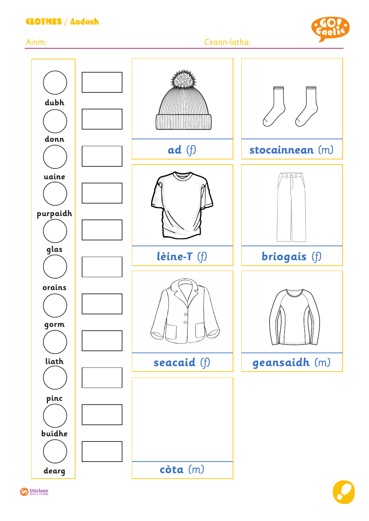## CLOTHES / Aodach



Ainm: Ceann-latha: